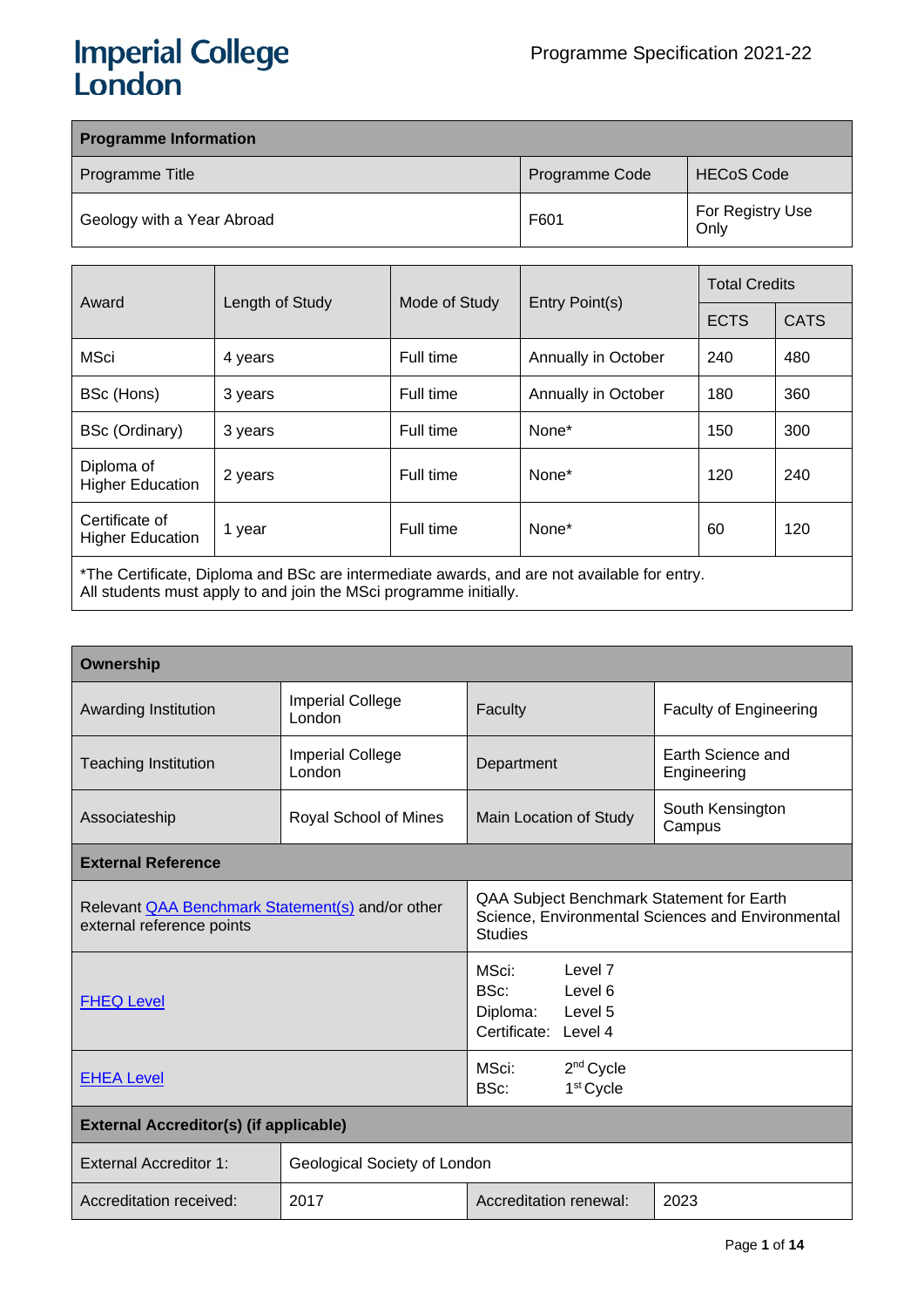# **Imperial College<br>London**

| <b>Programme Information</b> |                |                          |  |  |  |
|------------------------------|----------------|--------------------------|--|--|--|
| Programme Title              | Programme Code | <b>HECoS Code</b>        |  |  |  |
| Geology with a Year Abroad   | F601           | For Registry Use<br>Only |  |  |  |

| Award                                                                                       |                                                    |           |                     | <b>Total Credits</b> |     |  |
|---------------------------------------------------------------------------------------------|----------------------------------------------------|-----------|---------------------|----------------------|-----|--|
|                                                                                             | Length of Study<br>Entry Point(s)<br>Mode of Study |           | <b>ECTS</b>         | <b>CATS</b>          |     |  |
| <b>MSci</b>                                                                                 | 4 years                                            | Full time | Annually in October | 240                  | 480 |  |
| BSc (Hons)                                                                                  | 3 years                                            | Full time | Annually in October | 180                  | 360 |  |
| BSc (Ordinary)                                                                              | 3 years                                            | Full time | None*               | 150                  | 300 |  |
| Diploma of<br><b>Higher Education</b>                                                       | 2 years                                            | Full time | None*               | 120                  | 240 |  |
| Certificate of<br><b>Higher Education</b>                                                   | 1 year                                             | Full time | None*               | 60                   | 120 |  |
| *The Certificate, Diploma and BSc are intermediate awards, and are not available for entry. |                                                    |           |                     |                      |     |  |

All students must apply to and join the MSci programme initially.

| Ownership                                                                            |                                   |                                                                                                                  |                                                |                                  |  |                               |  |  |  |                            |
|--------------------------------------------------------------------------------------|-----------------------------------|------------------------------------------------------------------------------------------------------------------|------------------------------------------------|----------------------------------|--|-------------------------------|--|--|--|----------------------------|
| Awarding Institution                                                                 | <b>Imperial College</b><br>London | Faculty                                                                                                          |                                                |                                  |  | <b>Faculty of Engineering</b> |  |  |  |                            |
| <b>Teaching Institution</b>                                                          | <b>Imperial College</b><br>London | Department                                                                                                       |                                                | Earth Science and<br>Engineering |  |                               |  |  |  |                            |
| Associateship                                                                        | Royal School of Mines             | Main Location of Study                                                                                           |                                                |                                  |  |                               |  |  |  | South Kensington<br>Campus |
| <b>External Reference</b>                                                            |                                   |                                                                                                                  |                                                |                                  |  |                               |  |  |  |                            |
| Relevant <b>QAA Benchmark Statement(s)</b> and/or other<br>external reference points |                                   | QAA Subject Benchmark Statement for Earth<br>Science, Environmental Sciences and Environmental<br><b>Studies</b> |                                                |                                  |  |                               |  |  |  |                            |
| <b>FHEQ Level</b>                                                                    |                                   | MSci:<br>BSc:<br>Diploma:<br>Certificate: Level 4                                                                | Level 7<br>Level 6<br>Level 5                  |                                  |  |                               |  |  |  |                            |
| <b>EHEA Level</b>                                                                    |                                   | MSci:<br>BSc:                                                                                                    | 2 <sup>nd</sup> Cycle<br>1 <sup>st</sup> Cycle |                                  |  |                               |  |  |  |                            |
| <b>External Accreditor(s) (if applicable)</b>                                        |                                   |                                                                                                                  |                                                |                                  |  |                               |  |  |  |                            |
| <b>External Accreditor 1:</b>                                                        | Geological Society of London      |                                                                                                                  |                                                |                                  |  |                               |  |  |  |                            |
| Accreditation received:                                                              | 2017                              | Accreditation renewal:                                                                                           |                                                | 2023                             |  |                               |  |  |  |                            |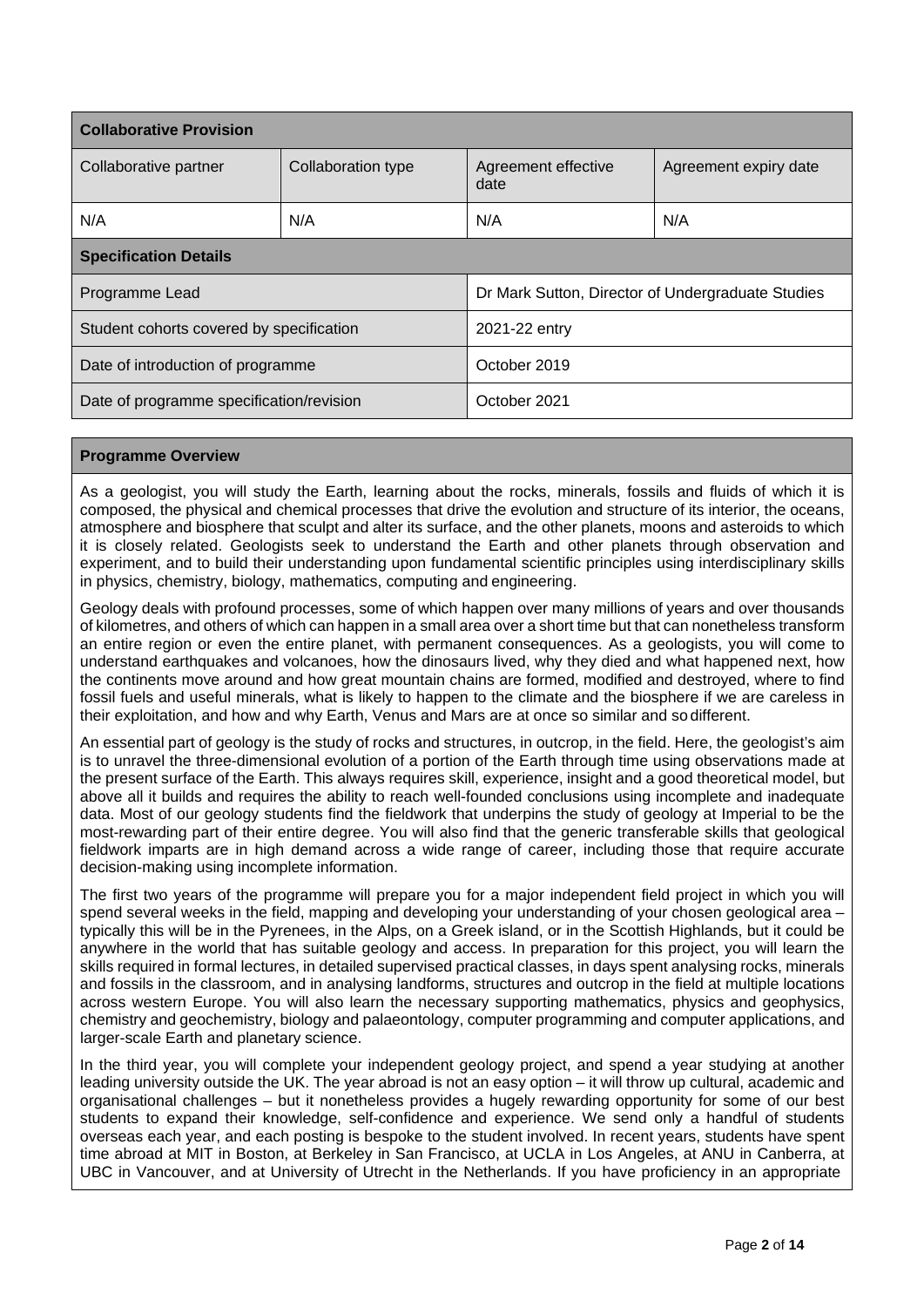| <b>Collaborative Provision</b>           |                    |                                                   |                       |  |  |  |
|------------------------------------------|--------------------|---------------------------------------------------|-----------------------|--|--|--|
| Collaborative partner                    | Collaboration type | Agreement effective<br>date                       | Agreement expiry date |  |  |  |
| N/A                                      | N/A                | N/A                                               | N/A                   |  |  |  |
| <b>Specification Details</b>             |                    |                                                   |                       |  |  |  |
| Programme Lead                           |                    | Dr Mark Sutton, Director of Undergraduate Studies |                       |  |  |  |
| Student cohorts covered by specification |                    | 2021-22 entry                                     |                       |  |  |  |
| Date of introduction of programme        |                    | October 2019                                      |                       |  |  |  |
| Date of programme specification/revision |                    | October 2021                                      |                       |  |  |  |

## **Programme Overview**

As a geologist, you will study the Earth, learning about the rocks, minerals, fossils and fluids of which it is composed, the physical and chemical processes that drive the evolution and structure of its interior, the oceans, atmosphere and biosphere that sculpt and alter its surface, and the other planets, moons and asteroids to which it is closely related. Geologists seek to understand the Earth and other planets through observation and experiment, and to build their understanding upon fundamental scientific principles using interdisciplinary skills in physics, chemistry, biology, mathematics, computing and engineering.

Geology deals with profound processes, some of which happen over many millions of years and over thousands of kilometres, and others of which can happen in a small area over a short time but that can nonetheless transform an entire region or even the entire planet, with permanent consequences. As a geologists, you will come to understand earthquakes and volcanoes, how the dinosaurs lived, why they died and what happened next, how the continents move around and how great mountain chains are formed, modified and destroyed, where to find fossil fuels and useful minerals, what is likely to happen to the climate and the biosphere if we are careless in their exploitation, and how and why Earth, Venus and Mars are at once so similar and so different.

An essential part of geology is the study of rocks and structures, in outcrop, in the field. Here, the geologist's aim is to unravel the three-dimensional evolution of a portion of the Earth through time using observations made at the present surface of the Earth. This always requires skill, experience, insight and a good theoretical model, but above all it builds and requires the ability to reach well-founded conclusions using incomplete and inadequate data. Most of our geology students find the fieldwork that underpins the study of geology at Imperial to be the most-rewarding part of their entire degree. You will also find that the generic transferable skills that geological fieldwork imparts are in high demand across a wide range of career, including those that require accurate decision-making using incomplete information.

The first two years of the programme will prepare you for a major independent field project in which you will spend several weeks in the field, mapping and developing your understanding of your chosen geological area – typically this will be in the Pyrenees, in the Alps, on a Greek island, or in the Scottish Highlands, but it could be anywhere in the world that has suitable geology and access. In preparation for this project, you will learn the skills required in formal lectures, in detailed supervised practical classes, in days spent analysing rocks, minerals and fossils in the classroom, and in analysing landforms, structures and outcrop in the field at multiple locations across western Europe. You will also learn the necessary supporting mathematics, physics and geophysics, chemistry and geochemistry, biology and palaeontology, computer programming and computer applications, and larger-scale Earth and planetary science.

In the third year, you will complete your independent geology project, and spend a year studying at another leading university outside the UK. The year abroad is not an easy option – it will throw up cultural, academic and organisational challenges – but it nonetheless provides a hugely rewarding opportunity for some of our best students to expand their knowledge, self-confidence and experience. We send only a handful of students overseas each year, and each posting is bespoke to the student involved. In recent years, students have spent time abroad at MIT in Boston, at Berkeley in San Francisco, at UCLA in Los Angeles, at ANU in Canberra, at UBC in Vancouver, and at University of Utrecht in the Netherlands. If you have proficiency in an appropriate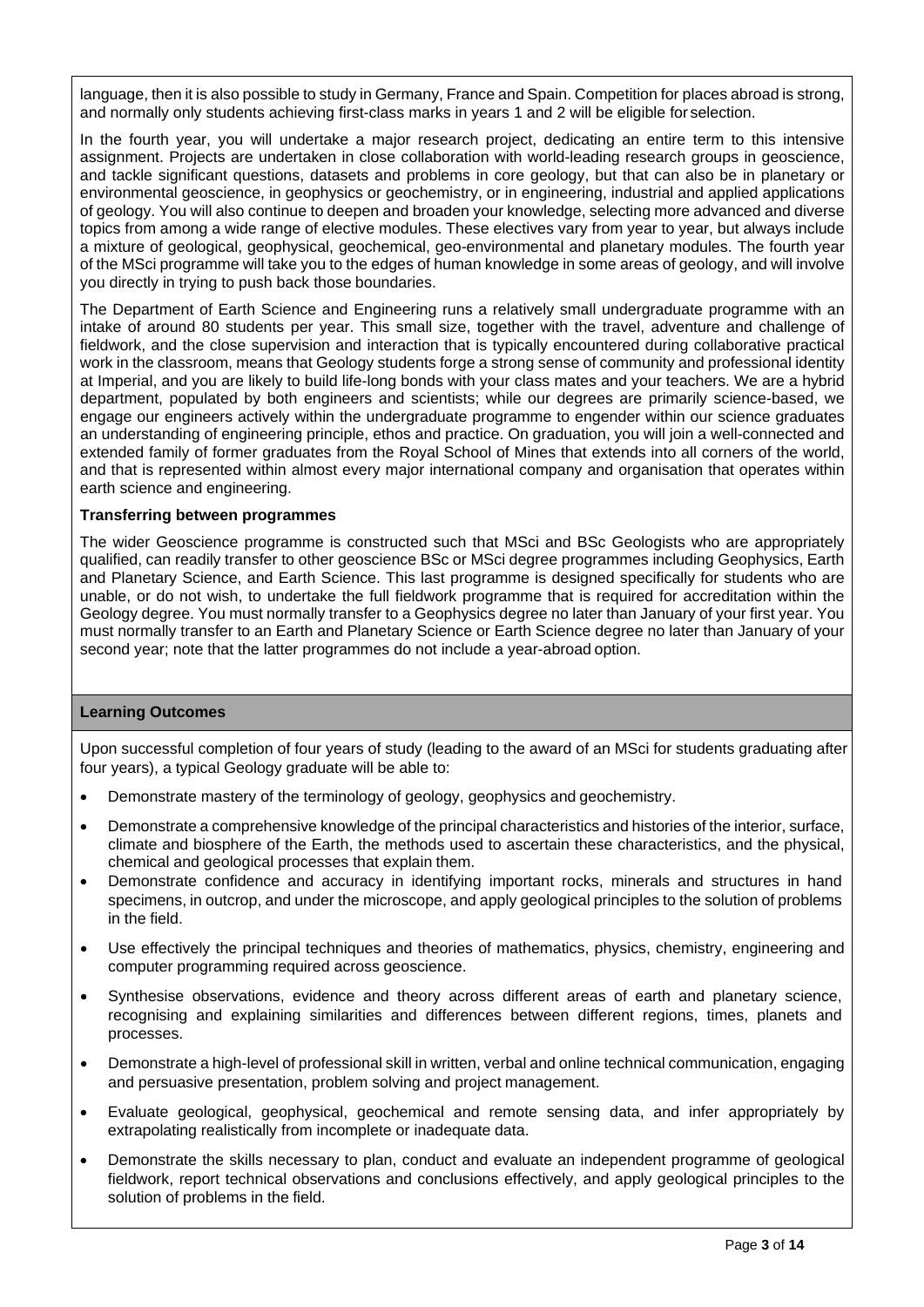language, then it is also possible to study in Germany, France and Spain. Competition for places abroad is strong, and normally only students achieving first-class marks in years 1 and 2 will be eligible for selection.

In the fourth year, you will undertake a major research project, dedicating an entire term to this intensive assignment. Projects are undertaken in close collaboration with world-leading research groups in geoscience, and tackle significant questions, datasets and problems in core geology, but that can also be in planetary or environmental geoscience, in geophysics or geochemistry, or in engineering, industrial and applied applications of geology. You will also continue to deepen and broaden your knowledge, selecting more advanced and diverse topics from among a wide range of elective modules. These electives vary from year to year, but always include a mixture of geological, geophysical, geochemical, geo-environmental and planetary modules. The fourth year of the MSci programme will take you to the edges of human knowledge in some areas of geology, and will involve you directly in trying to push back those boundaries.

The Department of Earth Science and Engineering runs a relatively small undergraduate programme with an intake of around 80 students per year. This small size, together with the travel, adventure and challenge of fieldwork, and the close supervision and interaction that is typically encountered during collaborative practical work in the classroom, means that Geology students forge a strong sense of community and professional identity at Imperial, and you are likely to build life-long bonds with your class mates and your teachers. We are a hybrid department, populated by both engineers and scientists; while our degrees are primarily science-based, we engage our engineers actively within the undergraduate programme to engender within our science graduates an understanding of engineering principle, ethos and practice. On graduation, you will join a well-connected and extended family of former graduates from the Royal School of Mines that extends into all corners of the world, and that is represented within almost every major international company and organisation that operates within earth science and engineering.

## **Transferring between programmes**

The wider Geoscience programme is constructed such that MSci and BSc Geologists who are appropriately qualified, can readily transfer to other geoscience BSc or MSci degree programmes including Geophysics, Earth and Planetary Science, and Earth Science. This last programme is designed specifically for students who are unable, or do not wish, to undertake the full fieldwork programme that is required for accreditation within the Geology degree. You must normally transfer to a Geophysics degree no later than January of your first year. You must normally transfer to an Earth and Planetary Science or Earth Science degree no later than January of your second year; note that the latter programmes do not include a year-abroad option.

## **Learning Outcomes**

Upon successful completion of four years of study (leading to the award of an MSci for students graduating after four years), a typical Geology graduate will be able to:

- Demonstrate mastery of the terminology of geology, geophysics and geochemistry.
- Demonstrate a comprehensive knowledge of the principal characteristics and histories of the interior, surface, climate and biosphere of the Earth, the methods used to ascertain these characteristics, and the physical, chemical and geological processes that explain them.
- Demonstrate confidence and accuracy in identifying important rocks, minerals and structures in hand specimens, in outcrop, and under the microscope, and apply geological principles to the solution of problems in the field.
- Use effectively the principal techniques and theories of mathematics, physics, chemistry, engineering and computer programming required across geoscience.
- Synthesise observations, evidence and theory across different areas of earth and planetary science, recognising and explaining similarities and differences between different regions, times, planets and processes.
- Demonstrate a high-level of professional skill in written, verbal and online technical communication, engaging and persuasive presentation, problem solving and project management.
- Evaluate geological, geophysical, geochemical and remote sensing data, and infer appropriately by extrapolating realistically from incomplete or inadequate data.
- Demonstrate the skills necessary to plan, conduct and evaluate an independent programme of geological fieldwork, report technical observations and conclusions effectively, and apply geological principles to the solution of problems in the field.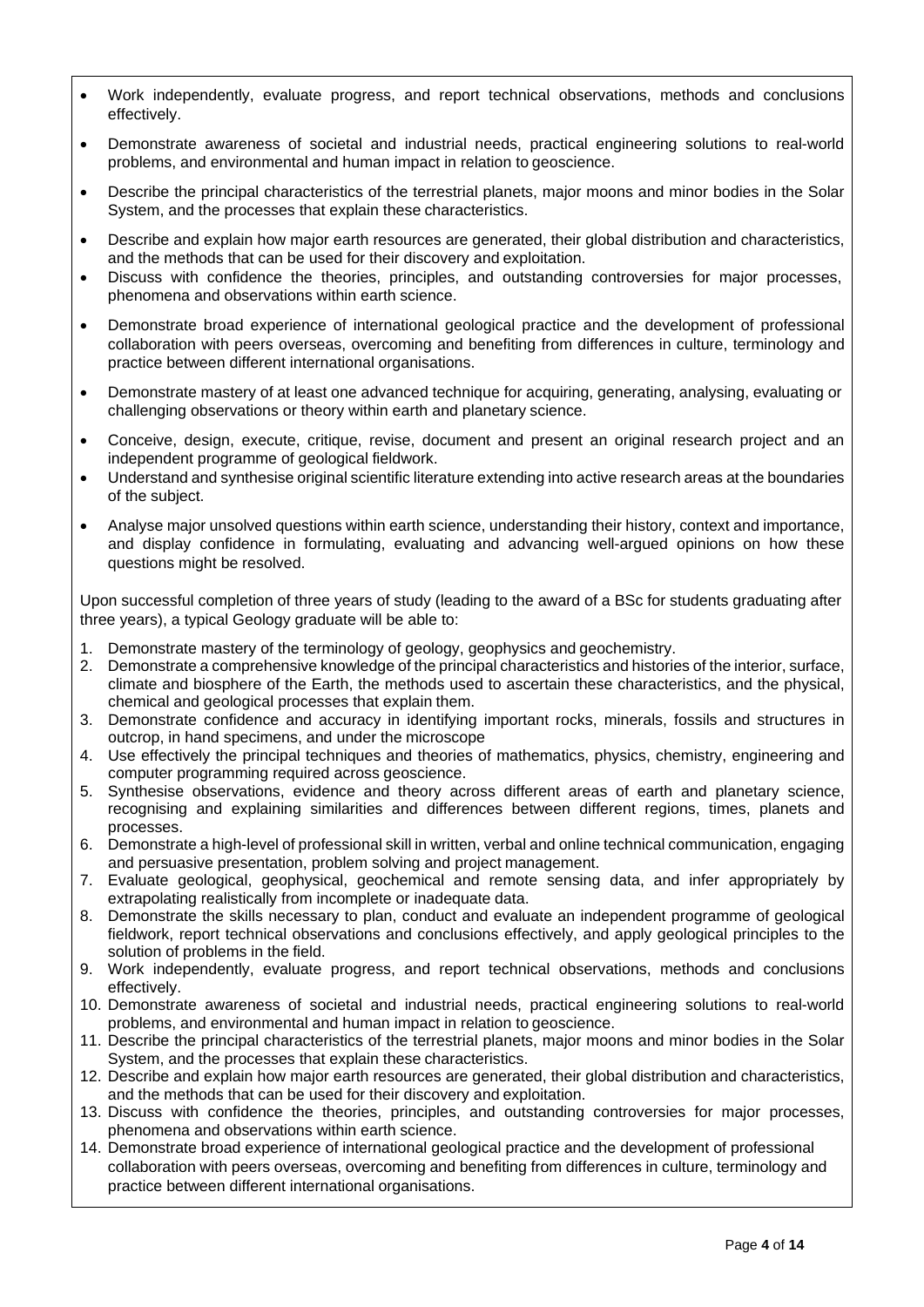- Work independently, evaluate progress, and report technical observations, methods and conclusions effectively.
- Demonstrate awareness of societal and industrial needs, practical engineering solutions to real-world problems, and environmental and human impact in relation to geoscience.
- Describe the principal characteristics of the terrestrial planets, major moons and minor bodies in the Solar System, and the processes that explain these characteristics.
- Describe and explain how major earth resources are generated, their global distribution and characteristics, and the methods that can be used for their discovery and exploitation.
- Discuss with confidence the theories, principles, and outstanding controversies for major processes, phenomena and observations within earth science.
- Demonstrate broad experience of international geological practice and the development of professional collaboration with peers overseas, overcoming and benefiting from differences in culture, terminology and practice between different international organisations.
- Demonstrate mastery of at least one advanced technique for acquiring, generating, analysing, evaluating or challenging observations or theory within earth and planetary science.
- Conceive, design, execute, critique, revise, document and present an original research project and an independent programme of geological fieldwork.
- Understand and synthesise original scientific literature extending into active research areas at the boundaries of the subject.
- Analyse major unsolved questions within earth science, understanding their history, context and importance, and display confidence in formulating, evaluating and advancing well-argued opinions on how these questions might be resolved.

Upon successful completion of three years of study (leading to the award of a BSc for students graduating after three years), a typical Geology graduate will be able to:

- 1. Demonstrate mastery of the terminology of geology, geophysics and geochemistry.
- 2. Demonstrate a comprehensive knowledge of the principal characteristics and histories of the interior, surface, climate and biosphere of the Earth, the methods used to ascertain these characteristics, and the physical, chemical and geological processes that explain them.
- 3. Demonstrate confidence and accuracy in identifying important rocks, minerals, fossils and structures in outcrop, in hand specimens, and under the microscope
- 4. Use effectively the principal techniques and theories of mathematics, physics, chemistry, engineering and computer programming required across geoscience.
- 5. Synthesise observations, evidence and theory across different areas of earth and planetary science, recognising and explaining similarities and differences between different regions, times, planets and processes.
- 6. Demonstrate a high-level of professional skill in written, verbal and online technical communication, engaging and persuasive presentation, problem solving and project management.
- 7. Evaluate geological, geophysical, geochemical and remote sensing data, and infer appropriately by extrapolating realistically from incomplete or inadequate data.
- 8. Demonstrate the skills necessary to plan, conduct and evaluate an independent programme of geological fieldwork, report technical observations and conclusions effectively, and apply geological principles to the solution of problems in the field.
- 9. Work independently, evaluate progress, and report technical observations, methods and conclusions effectively.
- 10. Demonstrate awareness of societal and industrial needs, practical engineering solutions to real-world problems, and environmental and human impact in relation to geoscience.
- 11. Describe the principal characteristics of the terrestrial planets, major moons and minor bodies in the Solar System, and the processes that explain these characteristics.
- 12. Describe and explain how major earth resources are generated, their global distribution and characteristics, and the methods that can be used for their discovery and exploitation.
- 13. Discuss with confidence the theories, principles, and outstanding controversies for major processes, phenomena and observations within earth science.
- 14. Demonstrate broad experience of international geological practice and the development of professional collaboration with peers overseas, overcoming and benefiting from differences in culture, terminology and practice between different international organisations.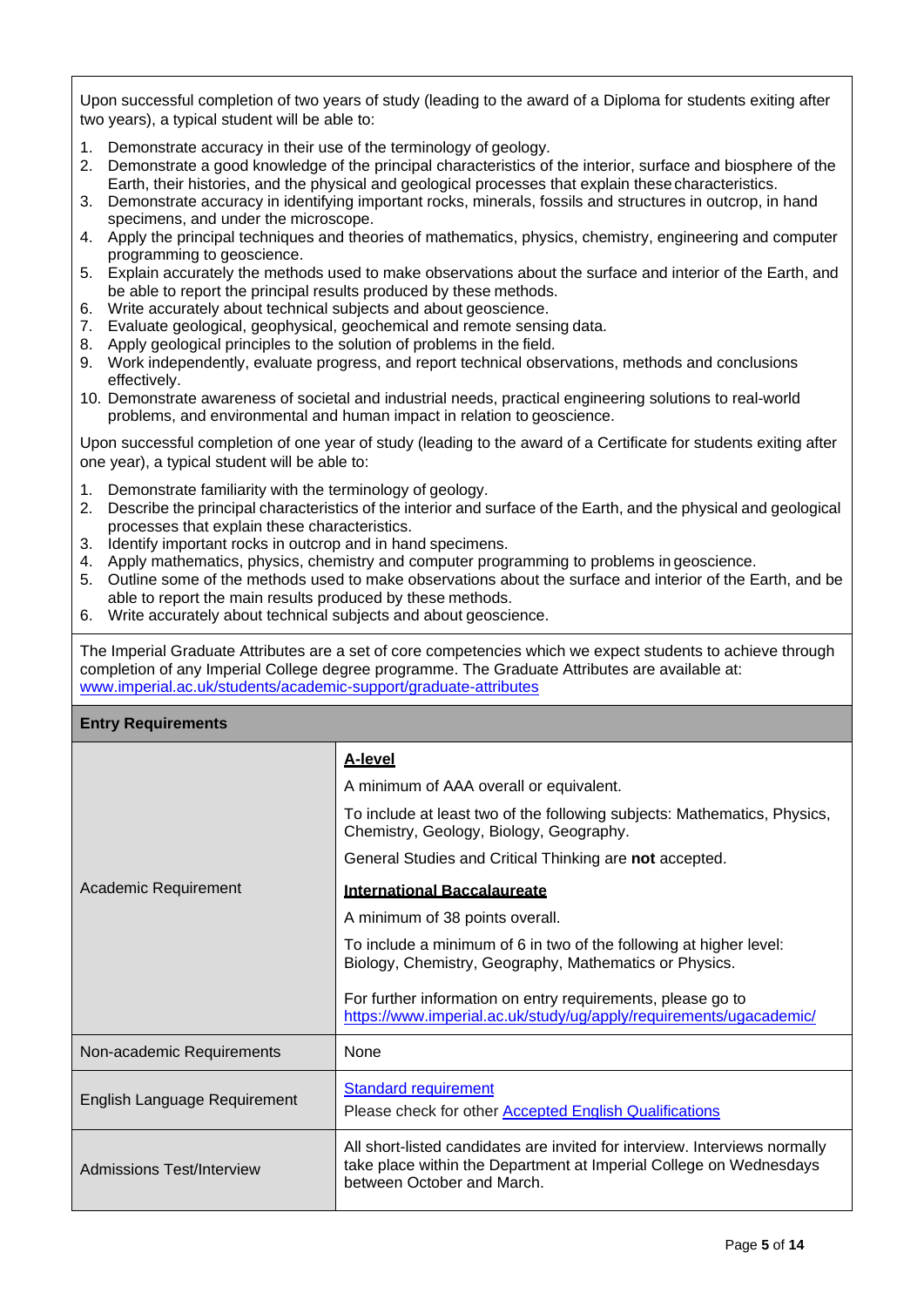Upon successful completion of two years of study (leading to the award of a Diploma for students exiting after two years), a typical student will be able to:

- 1. Demonstrate accuracy in their use of the terminology of geology.
- 2. Demonstrate a good knowledge of the principal characteristics of the interior, surface and biosphere of the Earth, their histories, and the physical and geological processes that explain these characteristics.
- 3. Demonstrate accuracy in identifying important rocks, minerals, fossils and structures in outcrop, in hand specimens, and under the microscope.
- 4. Apply the principal techniques and theories of mathematics, physics, chemistry, engineering and computer programming to geoscience.
- 5. Explain accurately the methods used to make observations about the surface and interior of the Earth, and be able to report the principal results produced by these methods.
- 6. Write accurately about technical subjects and about geoscience.
- 7. Evaluate geological, geophysical, geochemical and remote sensing data.
- 8. Apply geological principles to the solution of problems in the field.
- 9. Work independently, evaluate progress, and report technical observations, methods and conclusions effectively.
- 10. Demonstrate awareness of societal and industrial needs, practical engineering solutions to real-world problems, and environmental and human impact in relation to geoscience.

Upon successful completion of one year of study (leading to the award of a Certificate for students exiting after one year), a typical student will be able to:

- 1. Demonstrate familiarity with the terminology of geology.
- 2. Describe the principal characteristics of the interior and surface of the Earth, and the physical and geological processes that explain these characteristics.
- 3. Identify important rocks in outcrop and in hand specimens.
- 4. Apply mathematics, physics, chemistry and computer programming to problems in geoscience.
- 5. Outline some of the methods used to make observations about the surface and interior of the Earth, and be able to report the main results produced by these methods.
- 6. Write accurately about technical subjects and about geoscience.

The Imperial Graduate Attributes are a set of core competencies which we expect students to achieve through completion of any Imperial College degree programme. The Graduate Attributes are available at: [www.imperial.ac.uk/students/academic-support/graduate-attributes](http://www.imperial.ac.uk/students/academic-support/graduate-attributes)

#### **Entry Requirements**

|                              | <b>A-level</b>                                                                                                                                                                 |
|------------------------------|--------------------------------------------------------------------------------------------------------------------------------------------------------------------------------|
|                              | A minimum of AAA overall or equivalent.                                                                                                                                        |
|                              | To include at least two of the following subjects: Mathematics, Physics,<br>Chemistry, Geology, Biology, Geography.                                                            |
|                              | General Studies and Critical Thinking are not accepted.                                                                                                                        |
| Academic Requirement         | <b>International Baccalaureate</b>                                                                                                                                             |
|                              | A minimum of 38 points overall.                                                                                                                                                |
|                              | To include a minimum of 6 in two of the following at higher level:<br>Biology, Chemistry, Geography, Mathematics or Physics.                                                   |
|                              | For further information on entry requirements, please go to<br>https://www.imperial.ac.uk/study/ug/apply/requirements/ugacademic/                                              |
| Non-academic Requirements    | <b>None</b>                                                                                                                                                                    |
| English Language Requirement | <b>Standard requirement</b><br>Please check for other <b>Accepted English Qualifications</b>                                                                                   |
| Admissions Test/Interview    | All short-listed candidates are invited for interview. Interviews normally<br>take place within the Department at Imperial College on Wednesdays<br>between October and March. |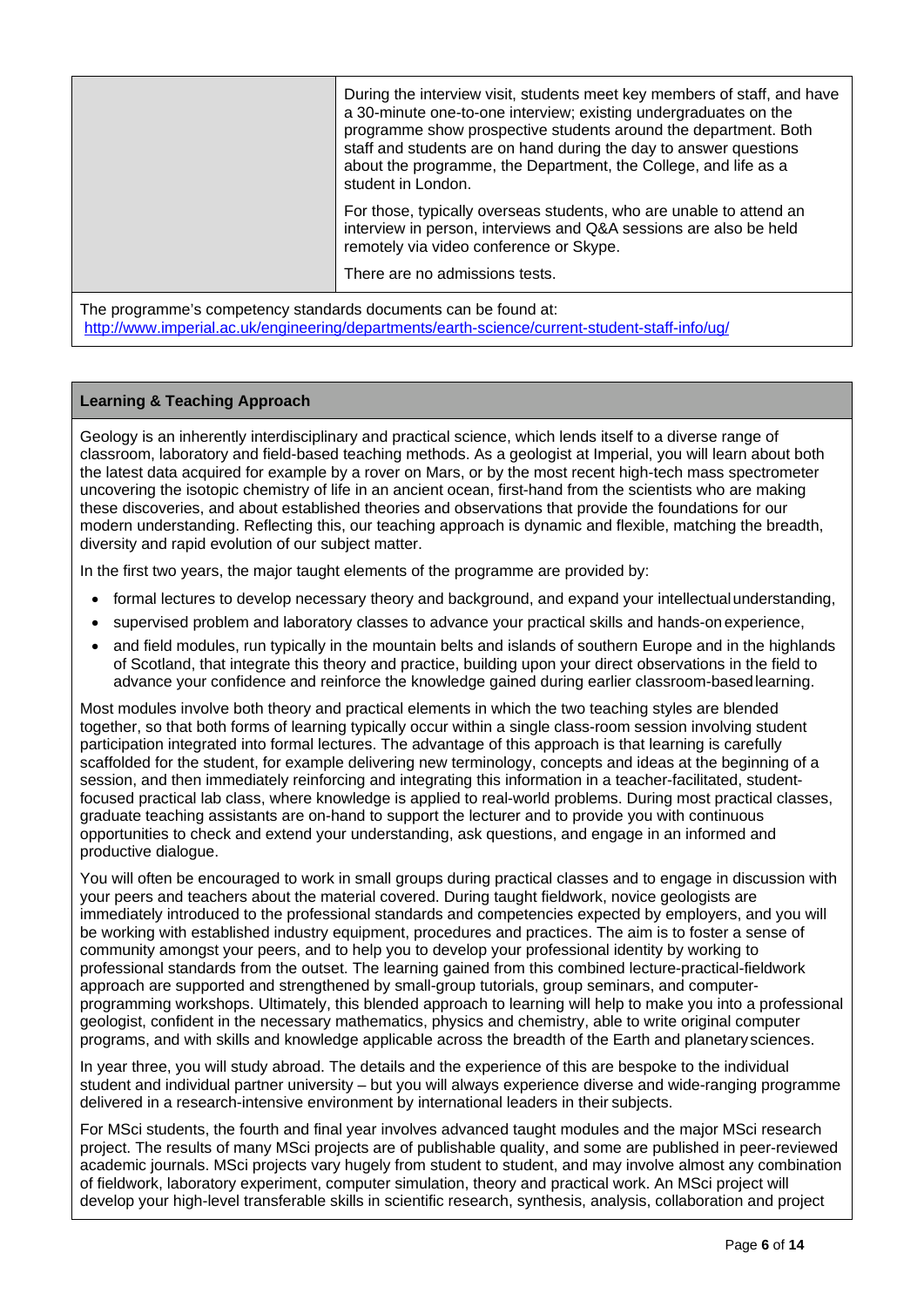|                                                                 | During the interview visit, students meet key members of staff, and have<br>a 30-minute one-to-one interview; existing undergraduates on the<br>programme show prospective students around the department. Both<br>staff and students are on hand during the day to answer questions<br>about the programme, the Department, the College, and life as a<br>student in London. |  |  |  |
|-----------------------------------------------------------------|-------------------------------------------------------------------------------------------------------------------------------------------------------------------------------------------------------------------------------------------------------------------------------------------------------------------------------------------------------------------------------|--|--|--|
|                                                                 | For those, typically overseas students, who are unable to attend an<br>interview in person, interviews and Q&A sessions are also be held<br>remotely via video conference or Skype.                                                                                                                                                                                           |  |  |  |
|                                                                 | There are no admissions tests.                                                                                                                                                                                                                                                                                                                                                |  |  |  |
| The programme's competency standards documents can be found at: |                                                                                                                                                                                                                                                                                                                                                                               |  |  |  |

<http://www.imperial.ac.uk/engineering/departments/earth-science/current-student-staff-info/ug/>

## **Learning & Teaching Approach**

Geology is an inherently interdisciplinary and practical science, which lends itself to a diverse range of classroom, laboratory and field-based teaching methods. As a geologist at Imperial, you will learn about both the latest data acquired for example by a rover on Mars, or by the most recent high-tech mass spectrometer uncovering the isotopic chemistry of life in an ancient ocean, first-hand from the scientists who are making these discoveries, and about established theories and observations that provide the foundations for our modern understanding. Reflecting this, our teaching approach is dynamic and flexible, matching the breadth, diversity and rapid evolution of our subject matter.

In the first two years, the major taught elements of the programme are provided by:

- formal lectures to develop necessary theory and background, and expand your intellectualunderstanding,
- supervised problem and laboratory classes to advance your practical skills and hands-onexperience,
- and field modules, run typically in the mountain belts and islands of southern Europe and in the highlands of Scotland, that integrate this theory and practice, building upon your direct observations in the field to advance your confidence and reinforce the knowledge gained during earlier classroom-basedlearning.

Most modules involve both theory and practical elements in which the two teaching styles are blended together, so that both forms of learning typically occur within a single class-room session involving student participation integrated into formal lectures. The advantage of this approach is that learning is carefully scaffolded for the student, for example delivering new terminology, concepts and ideas at the beginning of a session, and then immediately reinforcing and integrating this information in a teacher-facilitated, studentfocused practical lab class, where knowledge is applied to real-world problems. During most practical classes, graduate teaching assistants are on-hand to support the lecturer and to provide you with continuous opportunities to check and extend your understanding, ask questions, and engage in an informed and productive dialogue.

You will often be encouraged to work in small groups during practical classes and to engage in discussion with your peers and teachers about the material covered. During taught fieldwork, novice geologists are immediately introduced to the professional standards and competencies expected by employers, and you will be working with established industry equipment, procedures and practices. The aim is to foster a sense of community amongst your peers, and to help you to develop your professional identity by working to professional standards from the outset. The learning gained from this combined lecture-practical-fieldwork approach are supported and strengthened by small-group tutorials, group seminars, and computerprogramming workshops. Ultimately, this blended approach to learning will help to make you into a professional geologist, confident in the necessary mathematics, physics and chemistry, able to write original computer programs, and with skills and knowledge applicable across the breadth of the Earth and planetarysciences.

In year three, you will study abroad. The details and the experience of this are bespoke to the individual student and individual partner university – but you will always experience diverse and wide-ranging programme delivered in a research-intensive environment by international leaders in their subjects.

For MSci students, the fourth and final year involves advanced taught modules and the major MSci research project. The results of many MSci projects are of publishable quality, and some are published in peer-reviewed academic journals. MSci projects vary hugely from student to student, and may involve almost any combination of fieldwork, laboratory experiment, computer simulation, theory and practical work. An MSci project will develop your high-level transferable skills in scientific research, synthesis, analysis, collaboration and project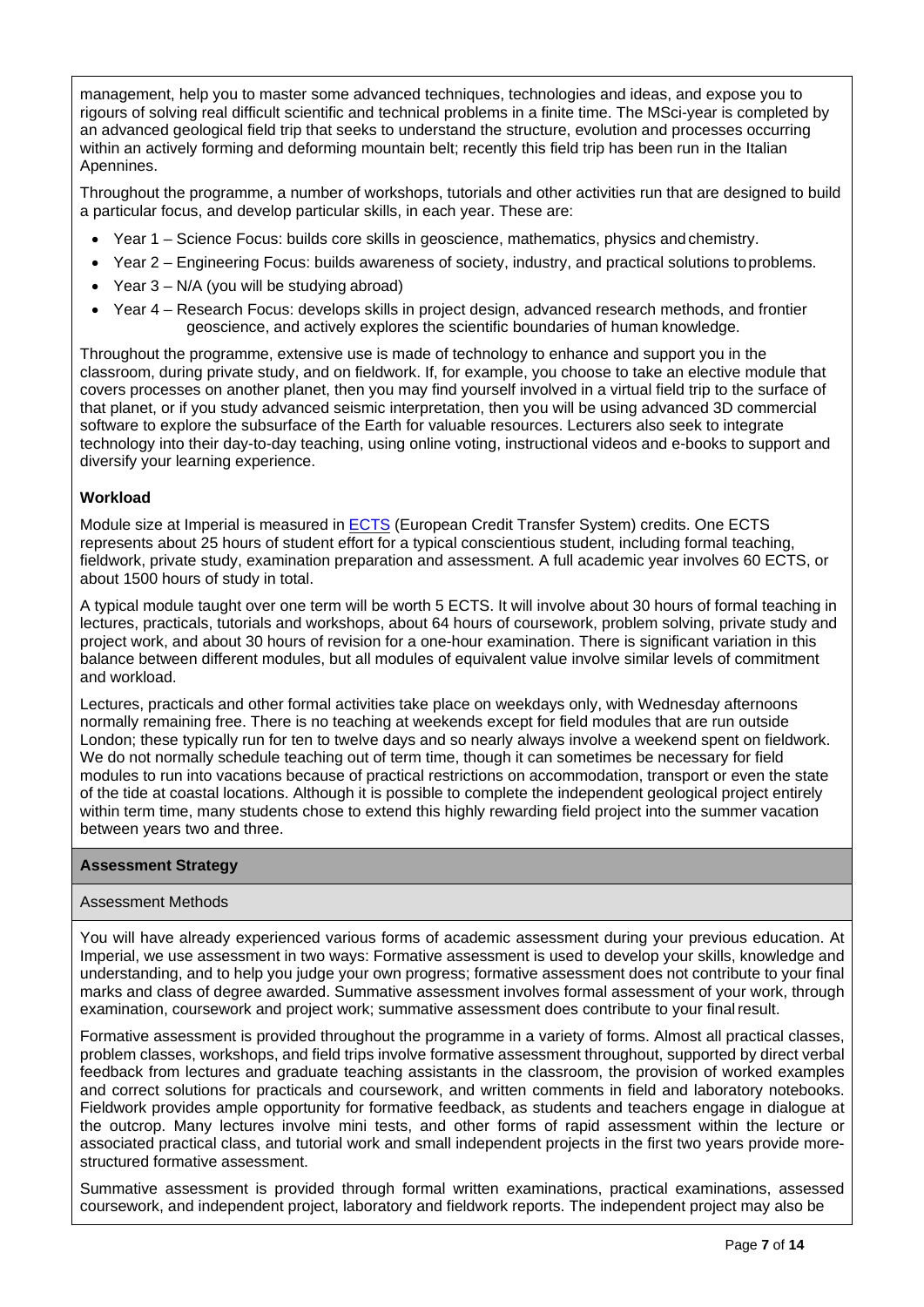management, help you to master some advanced techniques, technologies and ideas, and expose you to rigours of solving real difficult scientific and technical problems in a finite time. The MSci-year is completed by an advanced geological field trip that seeks to understand the structure, evolution and processes occurring within an actively forming and deforming mountain belt; recently this field trip has been run in the Italian Apennines.

Throughout the programme, a number of workshops, tutorials and other activities run that are designed to build a particular focus, and develop particular skills, in each year. These are:

- Year 1 Science Focus: builds core skills in geoscience, mathematics, physics and chemistry.
- Year 2 Engineering Focus: builds awareness of society, industry, and practical solutions toproblems.
- Year 3 N/A (you will be studying abroad)
- Year 4 Research Focus: develops skills in project design, advanced research methods, and frontier geoscience, and actively explores the scientific boundaries of human knowledge.

Throughout the programme, extensive use is made of technology to enhance and support you in the classroom, during private study, and on fieldwork. If, for example, you choose to take an elective module that covers processes on another planet, then you may find yourself involved in a virtual field trip to the surface of that planet, or if you study advanced seismic interpretation, then you will be using advanced 3D commercial software to explore the subsurface of the Earth for valuable resources. Lecturers also seek to integrate technology into their day-to-day teaching, using online voting, instructional videos and e-books to support and diversify your learning experience.

## **Workload**

Module size at Imperial is measured in **ECTS** (European Credit Transfer System) credits. One [ECTS](https://www.imperial.ac.uk/study/ug/apply/our-degrees/) represents about 25 hours of student effort for a typical conscientious student, including formal teaching, fieldwork, private study, examination preparation and assessment. A full academic year involves 60 ECTS, or about 1500 hours of study in total.

A typical module taught over one term will be worth 5 ECTS. It will involve about 30 hours of formal teaching in lectures, practicals, tutorials and workshops, about 64 hours of coursework, problem solving, private study and project work, and about 30 hours of revision for a one-hour examination. There is significant variation in this balance between different modules, but all modules of equivalent value involve similar levels of commitment and workload.

Lectures, practicals and other formal activities take place on weekdays only, with Wednesday afternoons normally remaining free. There is no teaching at weekends except for field modules that are run outside London; these typically run for ten to twelve days and so nearly always involve a weekend spent on fieldwork. We do not normally schedule teaching out of term time, though it can sometimes be necessary for field modules to run into vacations because of practical restrictions on accommodation, transport or even the state of the tide at coastal locations. Although it is possible to complete the independent geological project entirely within term time, many students chose to extend this highly rewarding field project into the summer vacation between years two and three.

## **Assessment Strategy**

## Assessment Methods

You will have already experienced various forms of academic assessment during your previous education. At Imperial, we use assessment in two ways: Formative assessment is used to develop your skills, knowledge and understanding, and to help you judge your own progress; formative assessment does not contribute to your final marks and class of degree awarded. Summative assessment involves formal assessment of your work, through examination, coursework and project work; summative assessment does contribute to your finalresult.

Formative assessment is provided throughout the programme in a variety of forms. Almost all practical classes, problem classes, workshops, and field trips involve formative assessment throughout, supported by direct verbal feedback from lectures and graduate teaching assistants in the classroom, the provision of worked examples and correct solutions for practicals and coursework, and written comments in field and laboratory notebooks. Fieldwork provides ample opportunity for formative feedback, as students and teachers engage in dialogue at the outcrop. Many lectures involve mini tests, and other forms of rapid assessment within the lecture or associated practical class, and tutorial work and small independent projects in the first two years provide morestructured formative assessment.

Summative assessment is provided through formal written examinations, practical examinations, assessed coursework, and independent project, laboratory and fieldwork reports. The independent project may also be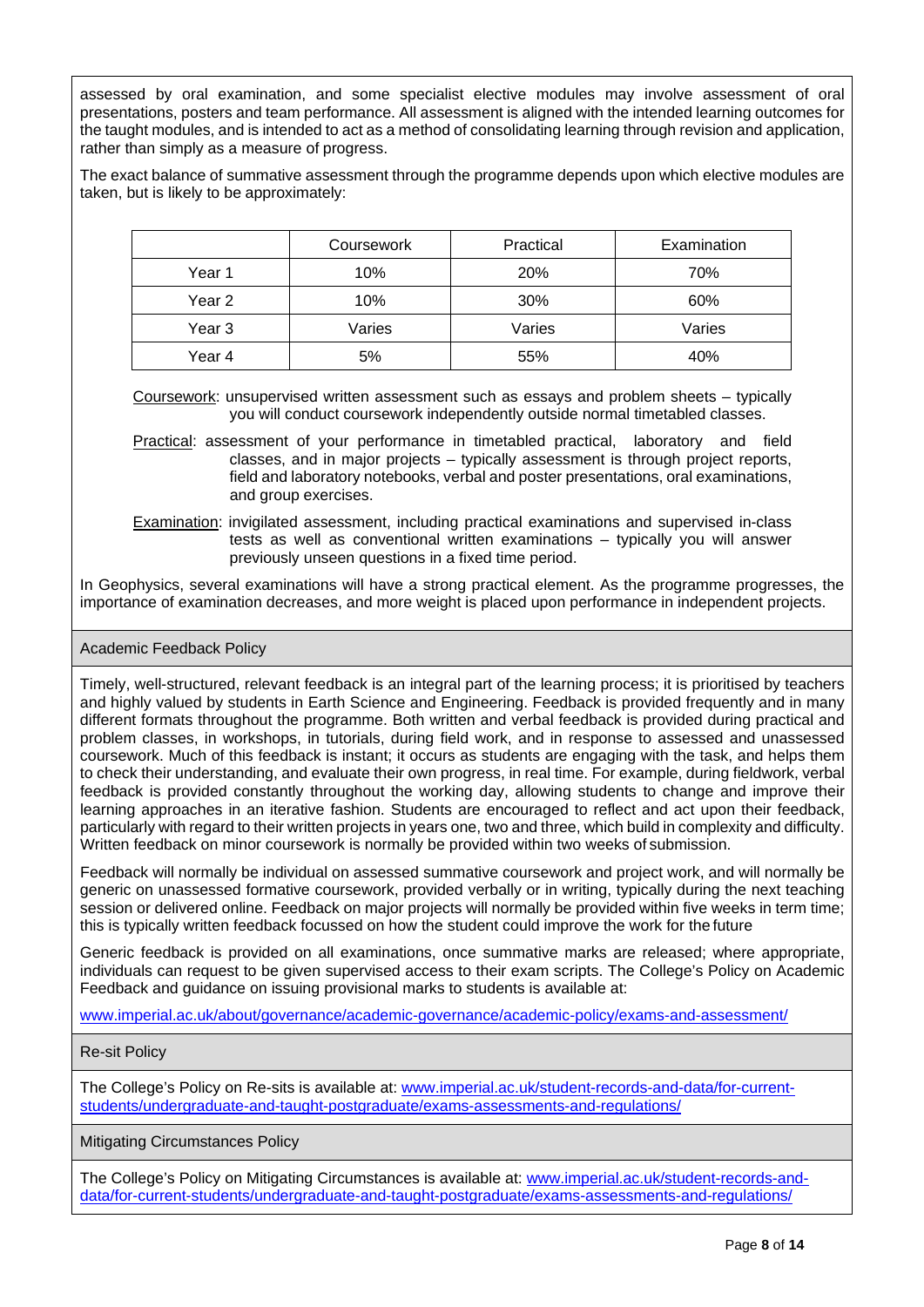assessed by oral examination, and some specialist elective modules may involve assessment of oral presentations, posters and team performance. All assessment is aligned with the intended learning outcomes for the taught modules, and is intended to act as a method of consolidating learning through revision and application, rather than simply as a measure of progress.

The exact balance of summative assessment through the programme depends upon which elective modules are taken, but is likely to be approximately:

|        | Coursework | Practical | Examination |
|--------|------------|-----------|-------------|
| Year 1 | 10%        | 20%       | 70%         |
| Year 2 | 10%        | 30%       | 60%         |
| Year 3 | Varies     | Varies    | Varies      |
| Year 4 | 5%         | 55%       | 40%         |

Coursework: unsupervised written assessment such as essays and problem sheets – typically you will conduct coursework independently outside normal timetabled classes.

Practical: assessment of your performance in timetabled practical, laboratory and field classes, and in major projects – typically assessment is through project reports, field and laboratory notebooks, verbal and poster presentations, oral examinations, and group exercises.

Examination: invigilated assessment, including practical examinations and supervised in-class tests as well as conventional written examinations – typically you will answer previously unseen questions in a fixed time period.

In Geophysics, several examinations will have a strong practical element. As the programme progresses, the importance of examination decreases, and more weight is placed upon performance in independent projects.

#### Academic Feedback Policy

Timely, well-structured, relevant feedback is an integral part of the learning process; it is prioritised by teachers and highly valued by students in Earth Science and Engineering. Feedback is provided frequently and in many different formats throughout the programme. Both written and verbal feedback is provided during practical and problem classes, in workshops, in tutorials, during field work, and in response to assessed and unassessed coursework. Much of this feedback is instant; it occurs as students are engaging with the task, and helps them to check their understanding, and evaluate their own progress, in real time. For example, during fieldwork, verbal feedback is provided constantly throughout the working day, allowing students to change and improve their learning approaches in an iterative fashion. Students are encouraged to reflect and act upon their feedback, particularly with regard to their written projects in years one, two and three, which build in complexity and difficulty. Written feedback on minor coursework is normally be provided within two weeks of submission.

Feedback will normally be individual on assessed summative coursework and project work, and will normally be generic on unassessed formative coursework, provided verbally or in writing, typically during the next teaching session or delivered online. Feedback on major projects will normally be provided within five weeks in term time; this is typically written feedback focussed on how the student could improve the work for the future

Generic feedback is provided on all examinations, once summative marks are released; where appropriate, individuals can request to be given supervised access to their exam scripts. The College's Policy on Academic Feedback and guidance on issuing provisional marks to students is available at:

[www.imperial.ac.uk/about/governance/academic-governance/academic-policy/exams-and-assessment/](http://www.imperial.ac.uk/about/governance/academic-governance/academic-policy/exams-and-assessment/)

#### Re-sit Policy

The College's Policy on Re-sits is available at: [www.imperial.ac.uk/student-records-and-data/for-current](http://www.imperial.ac.uk/student-records-and-data/for-current-students/undergraduate-and-taught-postgraduate/exams-assessments-and-regulations/)[students/undergraduate-and-taught-postgraduate/exams-assessments-and-regulations/](http://www.imperial.ac.uk/student-records-and-data/for-current-students/undergraduate-and-taught-postgraduate/exams-assessments-and-regulations/)

Mitigating Circumstances Policy

The College's Policy on Mitigating Circumstances is available at: [www.imperial.ac.uk/student-records-and](http://www.imperial.ac.uk/student-records-and-data/for-current-students/undergraduate-and-taught-postgraduate/exams-assessments-and-regulations/)[data/for-current-students/undergraduate-and-taught-postgraduate/exams-assessments-and-regulations/](http://www.imperial.ac.uk/student-records-and-data/for-current-students/undergraduate-and-taught-postgraduate/exams-assessments-and-regulations/)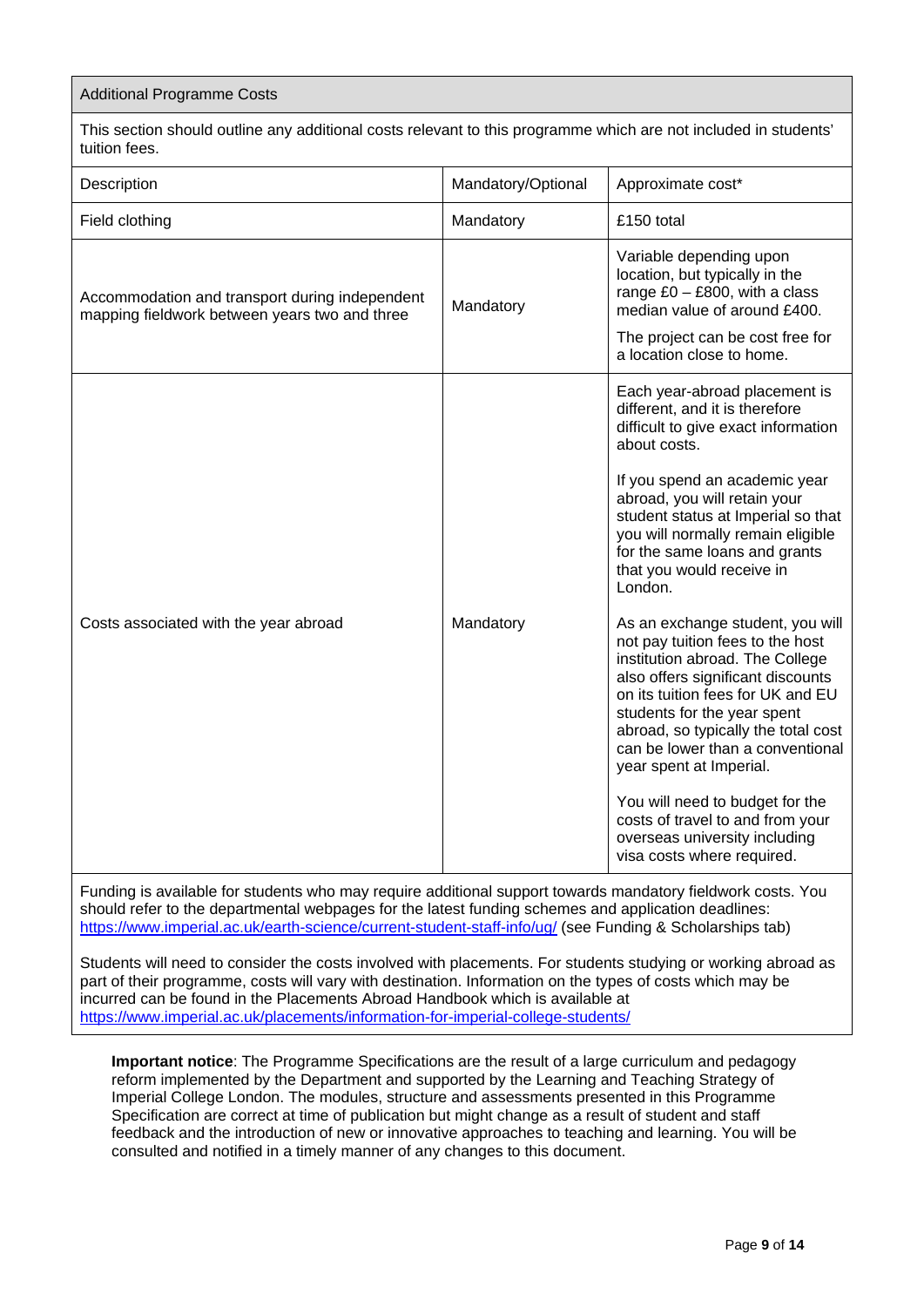#### Additional Programme Costs

This section should outline any additional costs relevant to this programme which are not included in students' tuition fees.

| Description                                                                                     | Mandatory/Optional | Approximate cost*                                                                                                                                                                                                                                                                                                                                                                                                                                                                                                                                                                                                                                                                                        |
|-------------------------------------------------------------------------------------------------|--------------------|----------------------------------------------------------------------------------------------------------------------------------------------------------------------------------------------------------------------------------------------------------------------------------------------------------------------------------------------------------------------------------------------------------------------------------------------------------------------------------------------------------------------------------------------------------------------------------------------------------------------------------------------------------------------------------------------------------|
| Field clothing                                                                                  | Mandatory          | £150 total                                                                                                                                                                                                                                                                                                                                                                                                                                                                                                                                                                                                                                                                                               |
| Accommodation and transport during independent<br>mapping fieldwork between years two and three | Mandatory          | Variable depending upon<br>location, but typically in the<br>range $£0 - £800$ , with a class<br>median value of around £400.<br>The project can be cost free for<br>a location close to home.                                                                                                                                                                                                                                                                                                                                                                                                                                                                                                           |
| Costs associated with the year abroad                                                           | Mandatory          | Each year-abroad placement is<br>different, and it is therefore<br>difficult to give exact information<br>about costs.<br>If you spend an academic year<br>abroad, you will retain your<br>student status at Imperial so that<br>you will normally remain eligible<br>for the same loans and grants<br>that you would receive in<br>London.<br>As an exchange student, you will<br>not pay tuition fees to the host<br>institution abroad. The College<br>also offers significant discounts<br>on its tuition fees for UK and EU<br>students for the year spent<br>abroad, so typically the total cost<br>can be lower than a conventional<br>year spent at Imperial.<br>You will need to budget for the |
|                                                                                                 |                    | costs of travel to and from your<br>overseas university including<br>visa costs where required.                                                                                                                                                                                                                                                                                                                                                                                                                                                                                                                                                                                                          |

Funding is available for students who may require additional support towards mandatory fieldwork costs. You should refer to the departmental webpages for the latest funding schemes and application deadlines: <https://www.imperial.ac.uk/earth-science/current-student-staff-info/ug/> (see Funding & Scholarships tab)

Students will need to consider the costs involved with placements. For students studying or working abroad as part of their programme, costs will vary with destination. Information on the types of costs which may be incurred can be found in the Placements Abroad Handbook which is available at <https://www.imperial.ac.uk/placements/information-for-imperial-college-students/>

**Important notice**: The Programme Specifications are the result of a large curriculum and pedagogy reform implemented by the Department and supported by the Learning and Teaching Strategy of Imperial College London. The modules, structure and assessments presented in this Programme Specification are correct at time of publication but might change as a result of student and staff feedback and the introduction of new or innovative approaches to teaching and learning. You will be consulted and notified in a timely manner of any changes to this document.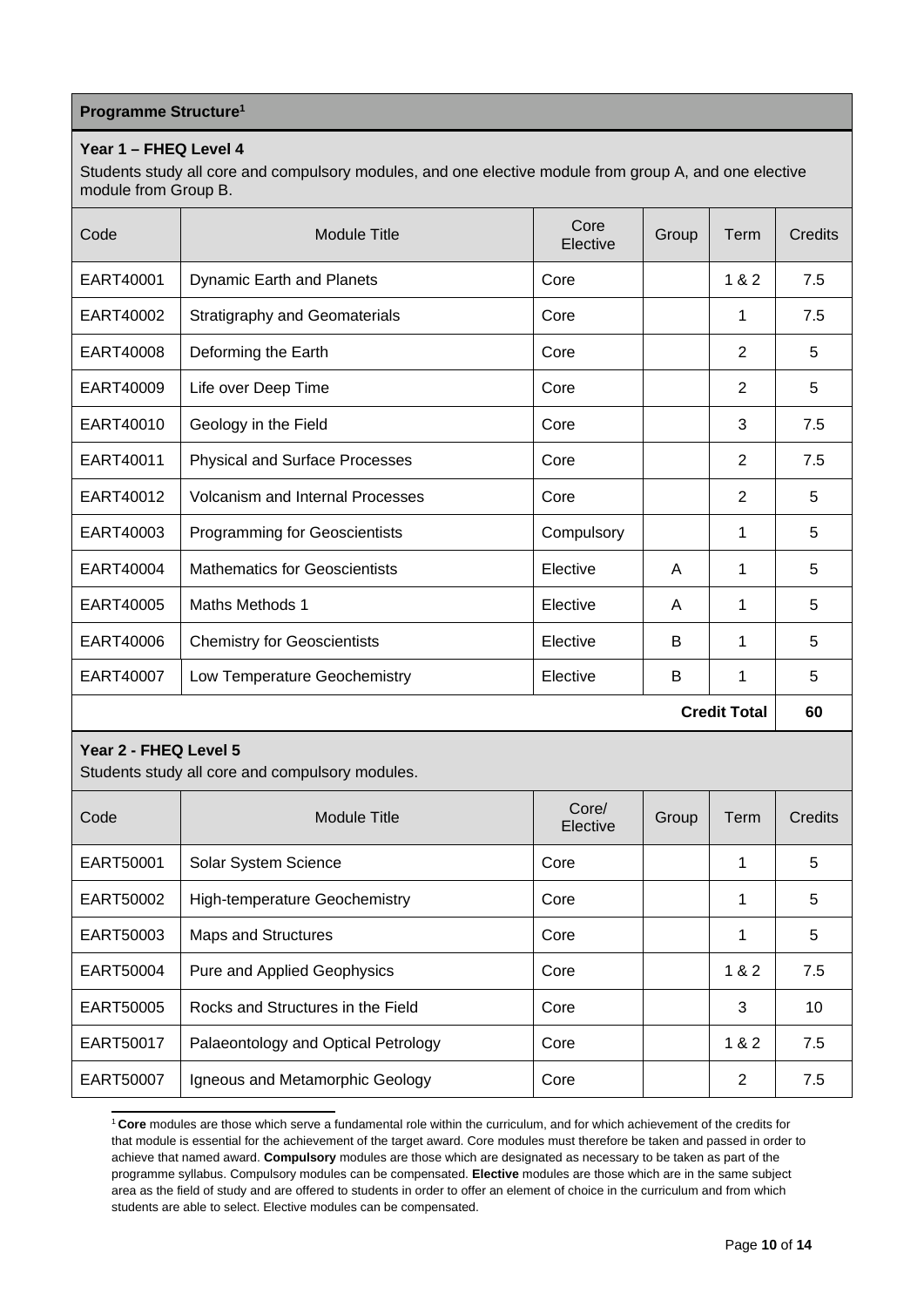## **Programme Structur[e1](#page-9-0)**

## **Year 1 – FHEQ Level 4**

Students study all core and compulsory modules, and one elective module from group A, and one elective module from Group B.

| Code      | <b>Module Title</b>                     | Core<br>Elective | Group | Term                | Credits |
|-----------|-----------------------------------------|------------------|-------|---------------------|---------|
| EART40001 | Dynamic Earth and Planets               | Core             |       | 1 & 2               | 7.5     |
| EART40002 | <b>Stratigraphy and Geomaterials</b>    | Core             |       | 1                   | 7.5     |
| EART40008 | Deforming the Earth                     | Core             |       | 2                   | 5       |
| EART40009 | Life over Deep Time                     | Core             |       | 2                   | 5       |
| EART40010 | Geology in the Field                    | Core             |       | 3                   | 7.5     |
| EART40011 | <b>Physical and Surface Processes</b>   | Core             |       | 2                   | 7.5     |
| EART40012 | <b>Volcanism and Internal Processes</b> | Core             |       | 2                   | 5       |
| EART40003 | <b>Programming for Geoscientists</b>    | Compulsory       |       | 1                   | 5       |
| EART40004 | <b>Mathematics for Geoscientists</b>    | Elective         | A     | 1                   | 5       |
| EART40005 | <b>Maths Methods 1</b>                  | Elective         | A     | 1                   | 5       |
| EART40006 | <b>Chemistry for Geoscientists</b>      | Elective         | B     | 1                   | 5       |
| EART40007 | Low Temperature Geochemistry            | Elective         | B     | 1                   | 5       |
|           |                                         |                  |       | <b>Credit Total</b> | 60      |

## **Year 2 - FHEQ Level 5**

Students study all core and compulsory modules.

| Code      | Module Title                         | Core/<br>Elective | Group | Term  | Credits |
|-----------|--------------------------------------|-------------------|-------|-------|---------|
| EART50001 | Solar System Science                 | Core              |       | 1     | 5       |
| EART50002 | <b>High-temperature Geochemistry</b> | Core              |       | 1     | 5       |
| EART50003 | <b>Maps and Structures</b>           | Core              |       | 1     | 5       |
| EART50004 | <b>Pure and Applied Geophysics</b>   | Core              |       | 1 & 2 | 7.5     |
| EART50005 | Rocks and Structures in the Field    | Core              |       | 3     | 10      |
| EART50017 | Palaeontology and Optical Petrology  | Core              |       | 1 & 2 | 7.5     |
| EART50007 | Igneous and Metamorphic Geology      | Core              |       | 2     | 7.5     |

<span id="page-9-0"></span><sup>1</sup>**Core** modules are those which serve a fundamental role within the curriculum, and for which achievement of the credits for that module is essential for the achievement of the target award. Core modules must therefore be taken and passed in order to achieve that named award. **Compulsory** modules are those which are designated as necessary to be taken as part of the programme syllabus. Compulsory modules can be compensated. **Elective** modules are those which are in the same subject area as the field of study and are offered to students in order to offer an element of choice in the curriculum and from which students are able to select. Elective modules can be compensated.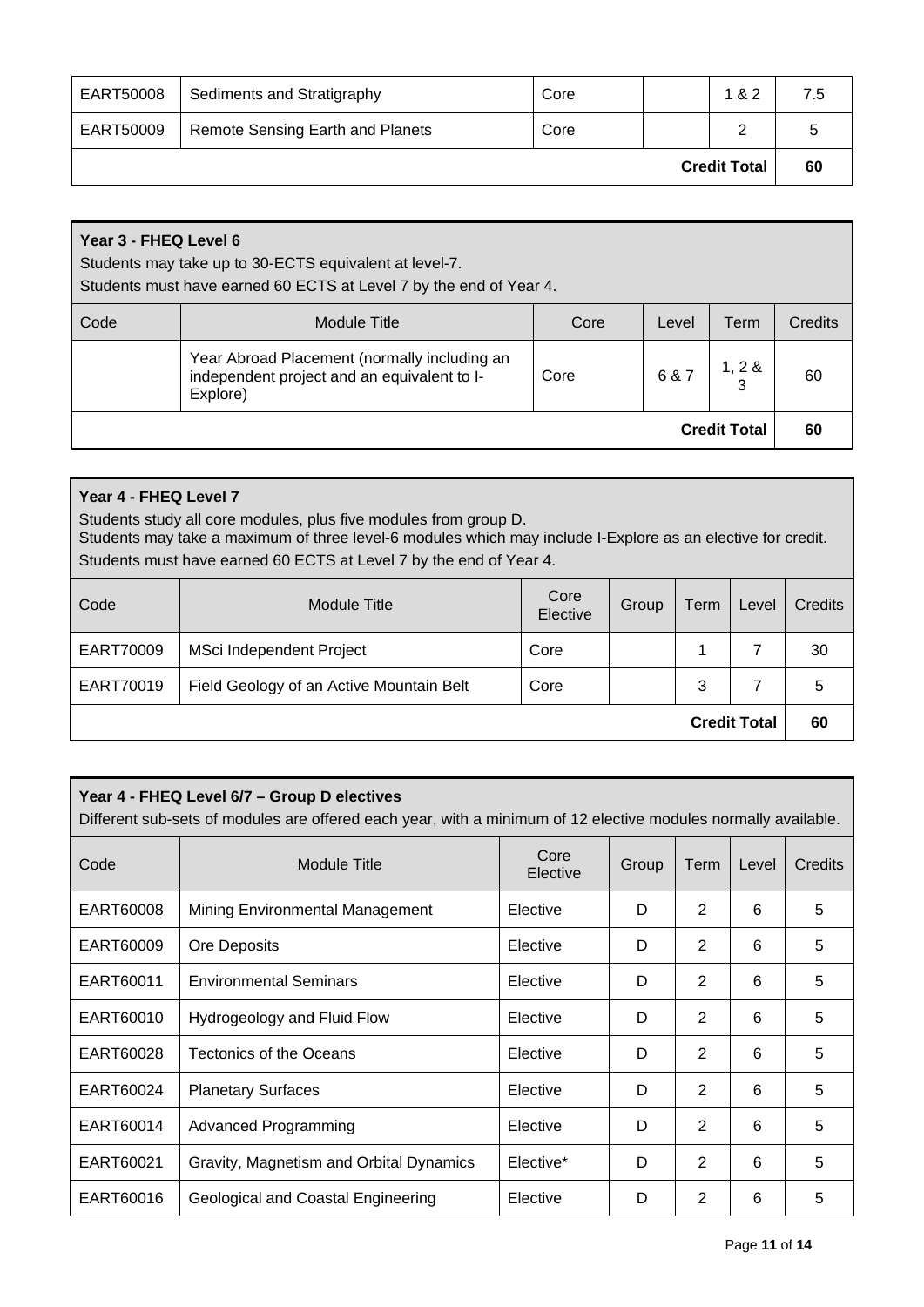| EART50008           | Sediments and Stratigraphy              | Core |  | 1 & 2 | 7.5 |
|---------------------|-----------------------------------------|------|--|-------|-----|
| EART50009           | <b>Remote Sensing Earth and Planets</b> | Core |  | っ     |     |
| <b>Credit Total</b> |                                         |      |  |       | 60  |

# **Year 3 - FHEQ Level 6**

Students may take up to 30-ECTS equivalent at level-7.

Students must have earned 60 ECTS at Level 7 by the end of Year 4.

| Code | Module Title                                                                                            | Core | Level | Term                | Credits |
|------|---------------------------------------------------------------------------------------------------------|------|-------|---------------------|---------|
|      | Year Abroad Placement (normally including an<br>independent project and an equivalent to I-<br>Explore) | Core | 6 & 7 | 1, 2 &              | 60      |
|      |                                                                                                         |      |       | <b>Credit Total</b> | 60      |

# **Year 4 - FHEQ Level 7**

Students study all core modules, plus five modules from group D.

Students may take a maximum of three level-6 modules which may include I-Explore as an elective for credit. Students must have earned 60 ECTS at Level 7 by the end of Year 4.

| Code                | <b>Module Title</b>                      | Core<br>Elective | Group | Term | Level | Credits |
|---------------------|------------------------------------------|------------------|-------|------|-------|---------|
| EART70009           | MSci Independent Project                 | Core             |       |      |       | 30      |
| EART70019           | Field Geology of an Active Mountain Belt | Core             |       | 3    |       | 5       |
| <b>Credit Total</b> |                                          |                  |       |      | 60    |         |

# **Year 4 - FHEQ Level 6/7 – Group D electives**

Different sub-sets of modules are offered each year, with a minimum of 12 elective modules normally available.

| Code      | <b>Module Title</b>                         | Core<br>Elective | Group | Term           | Level | Credits |
|-----------|---------------------------------------------|------------------|-------|----------------|-------|---------|
| EART60008 | Mining Environmental Management<br>Elective |                  | D     | 2              | 6     | 5       |
| EART60009 | Ore Deposits                                | Elective         | D     | 2              | 6     | 5       |
| EART60011 | <b>Environmental Seminars</b>               | Elective         | D     | 2              | 6     | 5       |
| EART60010 | Hydrogeology and Fluid Flow                 | Elective         | D     | 2              | 6     | 5       |
| EART60028 | Tectonics of the Oceans                     | Elective         | D     | 2              | 6     | 5       |
| EART60024 | <b>Planetary Surfaces</b>                   | Elective         | D     | 2              | 6     | 5       |
| EART60014 | Advanced Programming                        | Elective         | D     | $\overline{2}$ | 6     | 5       |
| EART60021 | Gravity, Magnetism and Orbital Dynamics     | Elective*        | D     | 2              | 6     | 5       |
| EART60016 | Geological and Coastal Engineering          | Elective         | D     | $\overline{2}$ | 6     | 5       |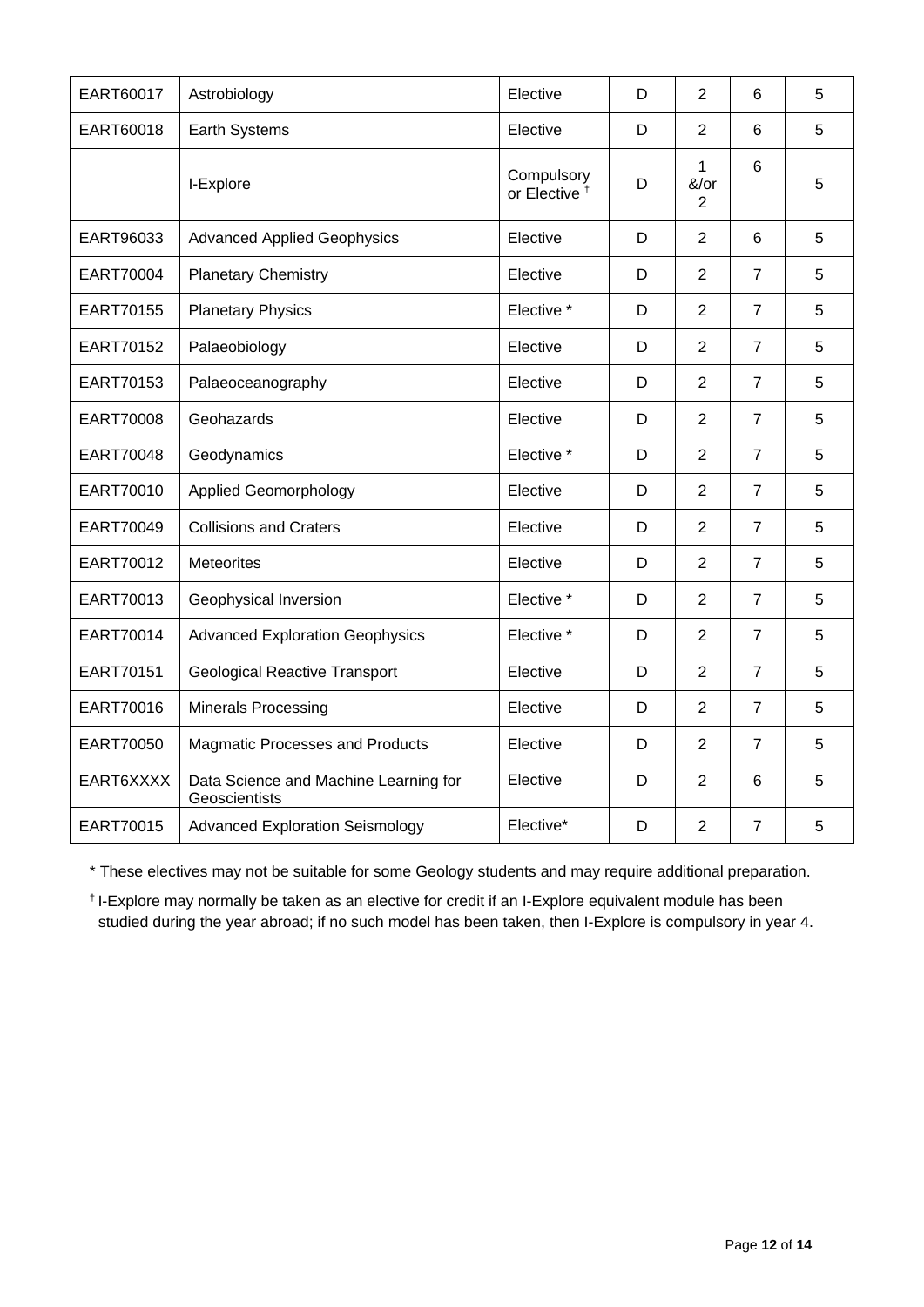| EART60017 | Astrobiology                                           | Elective                               | D | $\overline{2}$                         | 6              | 5 |
|-----------|--------------------------------------------------------|----------------------------------------|---|----------------------------------------|----------------|---|
| EART60018 | Earth Systems                                          | Elective                               | D | $\overline{2}$                         | 6              | 5 |
|           | I-Explore                                              | Compulsory<br>or Elective <sup>+</sup> | D | $\mathbf{1}$<br>&/or<br>$\overline{2}$ | 6              | 5 |
| EART96033 | <b>Advanced Applied Geophysics</b>                     | Elective                               | D | $\overline{2}$                         | 6              | 5 |
| EART70004 | <b>Planetary Chemistry</b>                             | Elective                               | D | $\overline{2}$                         | $\overline{7}$ | 5 |
| EART70155 | <b>Planetary Physics</b>                               | Elective *                             | D | $\overline{2}$                         | $\overline{7}$ | 5 |
| EART70152 | Palaeobiology                                          | Elective                               | D | $\overline{2}$                         | $\overline{7}$ | 5 |
| EART70153 | Palaeoceanography                                      | Elective                               | D | $\overline{2}$                         | $\overline{7}$ | 5 |
| EART70008 | Geohazards                                             | Elective                               | D | $\overline{2}$                         | $\overline{7}$ | 5 |
| EART70048 | Geodynamics                                            | Elective *                             | D | $\overline{2}$                         | $\overline{7}$ | 5 |
| EART70010 | <b>Applied Geomorphology</b>                           | Elective                               | D | $\overline{2}$                         | $\overline{7}$ | 5 |
| EART70049 | <b>Collisions and Craters</b>                          | Elective                               | D | $\overline{2}$                         | $\overline{7}$ | 5 |
| EART70012 | <b>Meteorites</b>                                      | Elective                               | D | $\overline{2}$                         | $\overline{7}$ | 5 |
| EART70013 | Geophysical Inversion                                  | Elective *                             | D | $\overline{2}$                         | $\overline{7}$ | 5 |
| EART70014 | <b>Advanced Exploration Geophysics</b>                 | Elective *                             | D | $\overline{2}$                         | $\overline{7}$ | 5 |
| EART70151 | <b>Geological Reactive Transport</b>                   | Elective                               | D | $\overline{2}$                         | $\overline{7}$ | 5 |
| EART70016 | <b>Minerals Processing</b>                             | Elective                               | D | $\overline{2}$                         | $\overline{7}$ | 5 |
| EART70050 | <b>Magmatic Processes and Products</b>                 | Elective                               | D | $\overline{2}$                         | $\overline{7}$ | 5 |
| EART6XXXX | Data Science and Machine Learning for<br>Geoscientists | Elective                               | D | $\overline{2}$                         | 6              | 5 |
| EART70015 | <b>Advanced Exploration Seismology</b>                 | Elective*                              | D | $\overline{2}$                         | $\overline{7}$ | 5 |

\* These electives may not be suitable for some Geology students and may require additional preparation.

† I-Explore may normally be taken as an elective for credit if an I-Explore equivalent module has been studied during the year abroad; if no such model has been taken, then I-Explore is compulsory in year 4.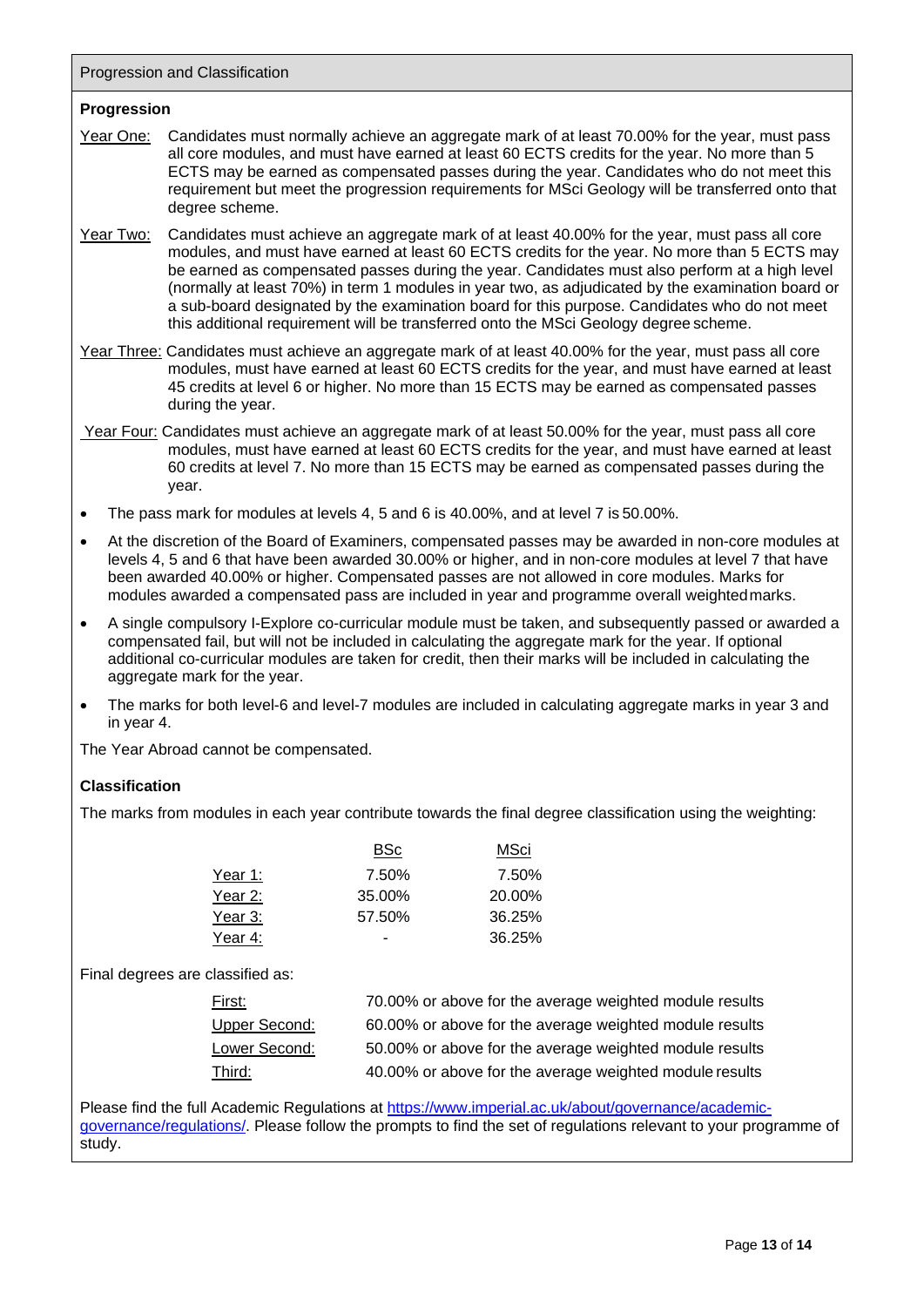Progression and Classification

## **Progression**

- Year One: Candidates must normally achieve an aggregate mark of at least 70.00% for the year, must pass all core modules, and must have earned at least 60 ECTS credits for the year. No more than 5 ECTS may be earned as compensated passes during the year. Candidates who do not meet this requirement but meet the progression requirements for MSci Geology will be transferred onto that degree scheme.
- Year Two: Candidates must achieve an aggregate mark of at least 40.00% for the year, must pass all core modules, and must have earned at least 60 ECTS credits for the year. No more than 5 ECTS may be earned as compensated passes during the year. Candidates must also perform at a high level (normally at least 70%) in term 1 modules in year two, as adjudicated by the examination board or a sub-board designated by the examination board for this purpose. Candidates who do not meet this additional requirement will be transferred onto the MSci Geology degree scheme.
- Year Three: Candidates must achieve an aggregate mark of at least 40.00% for the year, must pass all core modules, must have earned at least 60 ECTS credits for the year, and must have earned at least 45 credits at level 6 or higher. No more than 15 ECTS may be earned as compensated passes during the year.
- Year Four: Candidates must achieve an aggregate mark of at least 50.00% for the year, must pass all core modules, must have earned at least 60 ECTS credits for the year, and must have earned at least 60 credits at level 7. No more than 15 ECTS may be earned as compensated passes during the year.
- The pass mark for modules at levels 4, 5 and 6 is 40.00%, and at level 7 is 50.00%.
- At the discretion of the Board of Examiners, compensated passes may be awarded in non-core modules at levels 4, 5 and 6 that have been awarded 30.00% or higher, and in non-core modules at level 7 that have been awarded 40.00% or higher. Compensated passes are not allowed in core modules. Marks for modules awarded a compensated pass are included in year and programme overall weightedmarks.
- A single compulsory I-Explore co-curricular module must be taken, and subsequently passed or awarded a compensated fail, but will not be included in calculating the aggregate mark for the year. If optional additional co-curricular modules are taken for credit, then their marks will be included in calculating the aggregate mark for the year.
- The marks for both level-6 and level-7 modules are included in calculating aggregate marks in year 3 and in year 4.

The Year Abroad cannot be compensated.

## **Classification**

The marks from modules in each year contribute towards the final degree classification using the weighting:

|         | <b>BSc</b> | MSci   |
|---------|------------|--------|
| Year 1: | 7.50%      | 7.50%  |
| Year 2: | 35.00%     | 20.00% |
| Year 3: | 57.50%     | 36.25% |
| Year 4: |            | 36.25% |

Final degrees are classified as:

| First:        | 70.00% or above for the average weighted module results |
|---------------|---------------------------------------------------------|
| Upper Second: | 60.00% or above for the average weighted module results |
| Lower Second: | 50.00% or above for the average weighted module results |
| Third:        | 40.00% or above for the average weighted module results |

Please find the full Academic Regulations at [https://www.imperial.ac.uk/about/governance/academic](https://www.imperial.ac.uk/about/governance/academic-governance/regulations/)[governance/regulations/. P](https://www.imperial.ac.uk/about/governance/academic-governance/regulations/)lease follow the prompts to find the set of regulations relevant to your programme of study.